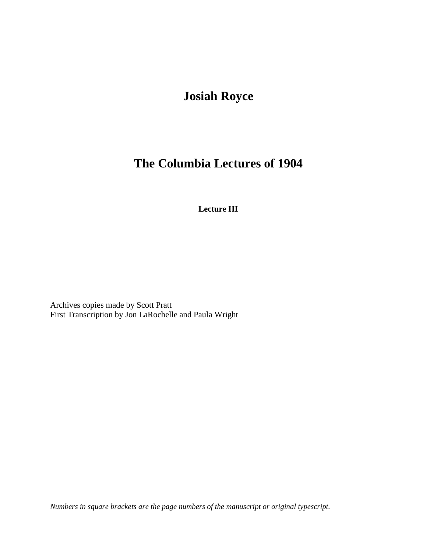## **Josiah Royce**

## **The Columbia Lectures of 1904**

**Lecture III**

Archives copies made by Scott Pratt First Transcription by Jon LaRochelle and Paula Wright

*Numbers in square brackets are the page numbers of the manuscript or original typescript.*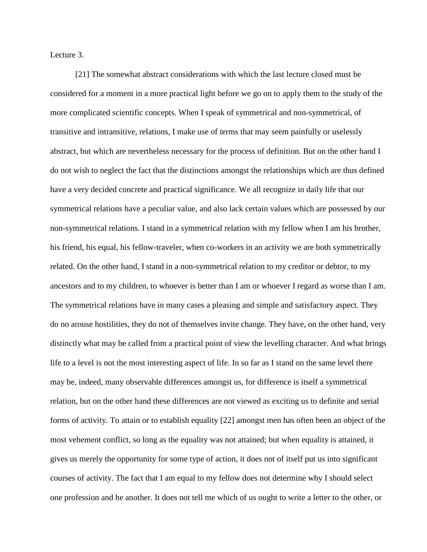Lecture 3.

[21] The somewhat abstract considerations with which the last lecture closed must be considered for a moment in a more practical light before we go on to apply them to the study of the more complicated scientific concepts. When I speak of symmetrical and non-symmetrical, of transitive and intransitive, relations, I make use of terms that may seem painfully or uselessly abstract, but which are nevertheless necessary for the process of definition. But on the other hand I do not wish to neglect the fact that the distinctions amongst the relationships which are thus defined have a very decided concrete and practical significance. We all recognize in daily life that our symmetrical relations have a peculiar value, and also lack certain values which are possessed by our non-symmetrical relations. I stand in a symmetrical relation with my fellow when I am his brother, his friend, his equal, his fellow-traveler, when co-workers in an activity we are both symmetrically related. On the other hand, I stand in a non-symmetrical relation to my creditor or debtor, to my ancestors and to my children, to whoever is better than I am or whoever I regard as worse than I am. The symmetrical relations have in many cases a pleasing and simple and satisfactory aspect. They do no arouse hostilities, they do not of themselves invite change. They have, on the other hand, very distinctly what may be called from a practical point of view the levelling character. And what brings life to a level is not the most interesting aspect of life. In so far as I stand on the same level there may be, indeed, many observable differences amongst us, for difference is itself a symmetrical relation, but on the other hand these differences are not viewed as exciting us to definite and serial forms of activity. To attain or to establish equality [22] amongst men has often been an object of the most vehement conflict, so long as the equality was not attained; but when equality is attained, it gives us merely the opportunity for some type of action, it does not of itself put us into significant courses of activity. The fact that I am equal to my fellow does not determine why I should select one profession and he another. It does not tell me which of us ought to write a letter to the other, or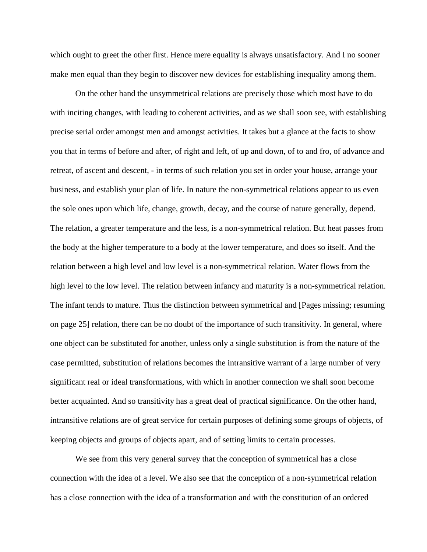which ought to greet the other first. Hence mere equality is always unsatisfactory. And I no sooner make men equal than they begin to discover new devices for establishing inequality among them.

On the other hand the unsymmetrical relations are precisely those which most have to do with inciting changes, with leading to coherent activities, and as we shall soon see, with establishing precise serial order amongst men and amongst activities. It takes but a glance at the facts to show you that in terms of before and after, of right and left, of up and down, of to and fro, of advance and retreat, of ascent and descent, - in terms of such relation you set in order your house, arrange your business, and establish your plan of life. In nature the non-symmetrical relations appear to us even the sole ones upon which life, change, growth, decay, and the course of nature generally, depend. The relation, a greater temperature and the less, is a non-symmetrical relation. But heat passes from the body at the higher temperature to a body at the lower temperature, and does so itself. And the relation between a high level and low level is a non-symmetrical relation. Water flows from the high level to the low level. The relation between infancy and maturity is a non-symmetrical relation. The infant tends to mature. Thus the distinction between symmetrical and [Pages missing; resuming on page 25] relation, there can be no doubt of the importance of such transitivity. In general, where one object can be substituted for another, unless only a single substitution is from the nature of the case permitted, substitution of relations becomes the intransitive warrant of a large number of very significant real or ideal transformations, with which in another connection we shall soon become better acquainted. And so transitivity has a great deal of practical significance. On the other hand, intransitive relations are of great service for certain purposes of defining some groups of objects, of keeping objects and groups of objects apart, and of setting limits to certain processes.

We see from this very general survey that the conception of symmetrical has a close connection with the idea of a level. We also see that the conception of a non-symmetrical relation has a close connection with the idea of a transformation and with the constitution of an ordered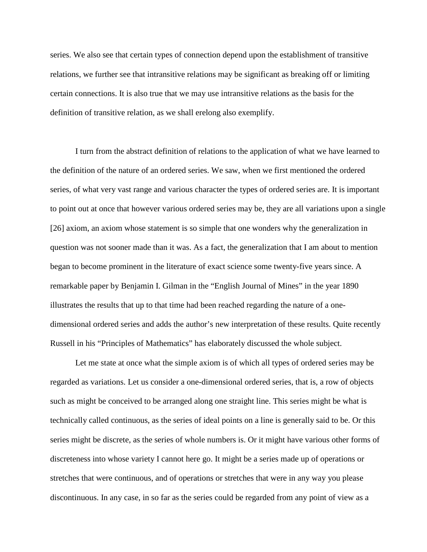series. We also see that certain types of connection depend upon the establishment of transitive relations, we further see that intransitive relations may be significant as breaking off or limiting certain connections. It is also true that we may use intransitive relations as the basis for the definition of transitive relation, as we shall erelong also exemplify.

I turn from the abstract definition of relations to the application of what we have learned to the definition of the nature of an ordered series. We saw, when we first mentioned the ordered series, of what very vast range and various character the types of ordered series are. It is important to point out at once that however various ordered series may be, they are all variations upon a single [26] axiom, an axiom whose statement is so simple that one wonders why the generalization in question was not sooner made than it was. As a fact, the generalization that I am about to mention began to become prominent in the literature of exact science some twenty-five years since. A remarkable paper by Benjamin I. Gilman in the "English Journal of Mines" in the year 1890 illustrates the results that up to that time had been reached regarding the nature of a onedimensional ordered series and adds the author's new interpretation of these results. Quite recently Russell in his "Principles of Mathematics" has elaborately discussed the whole subject.

Let me state at once what the simple axiom is of which all types of ordered series may be regarded as variations. Let us consider a one-dimensional ordered series, that is, a row of objects such as might be conceived to be arranged along one straight line. This series might be what is technically called continuous, as the series of ideal points on a line is generally said to be. Or this series might be discrete, as the series of whole numbers is. Or it might have various other forms of discreteness into whose variety I cannot here go. It might be a series made up of operations or stretches that were continuous, and of operations or stretches that were in any way you please discontinuous. In any case, in so far as the series could be regarded from any point of view as a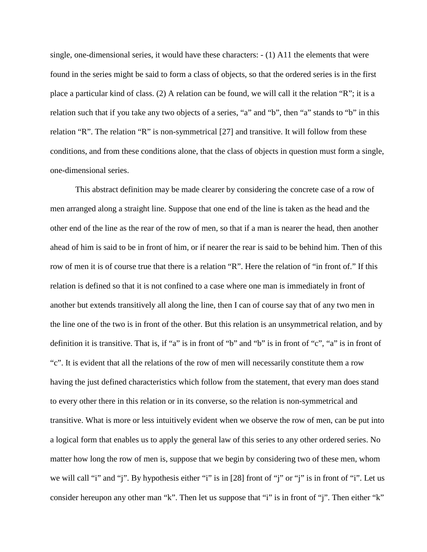single, one-dimensional series, it would have these characters: - (1) A11 the elements that were found in the series might be said to form a class of objects, so that the ordered series is in the first place a particular kind of class. (2) A relation can be found, we will call it the relation "R"; it is a relation such that if you take any two objects of a series, "a" and "b", then "a" stands to "b" in this relation "R". The relation "R" is non-symmetrical [27] and transitive. It will follow from these conditions, and from these conditions alone, that the class of objects in question must form a single, one-dimensional series.

This abstract definition may be made clearer by considering the concrete case of a row of men arranged along a straight line. Suppose that one end of the line is taken as the head and the other end of the line as the rear of the row of men, so that if a man is nearer the head, then another ahead of him is said to be in front of him, or if nearer the rear is said to be behind him. Then of this row of men it is of course true that there is a relation "R". Here the relation of "in front of." If this relation is defined so that it is not confined to a case where one man is immediately in front of another but extends transitively all along the line, then I can of course say that of any two men in the line one of the two is in front of the other. But this relation is an unsymmetrical relation, and by definition it is transitive. That is, if "a" is in front of "b" and "b" is in front of "c", "a" is in front of "c". It is evident that all the relations of the row of men will necessarily constitute them a row having the just defined characteristics which follow from the statement, that every man does stand to every other there in this relation or in its converse, so the relation is non-symmetrical and transitive. What is more or less intuitively evident when we observe the row of men, can be put into a logical form that enables us to apply the general law of this series to any other ordered series. No matter how long the row of men is, suppose that we begin by considering two of these men, whom we will call "i" and "j". By hypothesis either "i" is in [28] front of "j" or "j" is in front of "i". Let us consider hereupon any other man "k". Then let us suppose that "i" is in front of "j". Then either "k"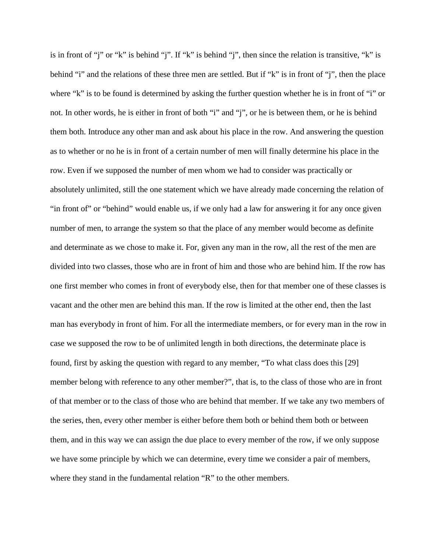is in front of "j" or "k" is behind "j". If "k" is behind "j", then since the relation is transitive, "k" is behind "i" and the relations of these three men are settled. But if "k" is in front of "j", then the place where "k" is to be found is determined by asking the further question whether he is in front of "i" or not. In other words, he is either in front of both "i" and "j", or he is between them, or he is behind them both. Introduce any other man and ask about his place in the row. And answering the question as to whether or no he is in front of a certain number of men will finally determine his place in the row. Even if we supposed the number of men whom we had to consider was practically or absolutely unlimited, still the one statement which we have already made concerning the relation of "in front of" or "behind" would enable us, if we only had a law for answering it for any once given number of men, to arrange the system so that the place of any member would become as definite and determinate as we chose to make it. For, given any man in the row, all the rest of the men are divided into two classes, those who are in front of him and those who are behind him. If the row has one first member who comes in front of everybody else, then for that member one of these classes is vacant and the other men are behind this man. If the row is limited at the other end, then the last man has everybody in front of him. For all the intermediate members, or for every man in the row in case we supposed the row to be of unlimited length in both directions, the determinate place is found, first by asking the question with regard to any member, "To what class does this [29] member belong with reference to any other member?", that is, to the class of those who are in front of that member or to the class of those who are behind that member. If we take any two members of the series, then, every other member is either before them both or behind them both or between them, and in this way we can assign the due place to every member of the row, if we only suppose we have some principle by which we can determine, every time we consider a pair of members, where they stand in the fundamental relation "R" to the other members.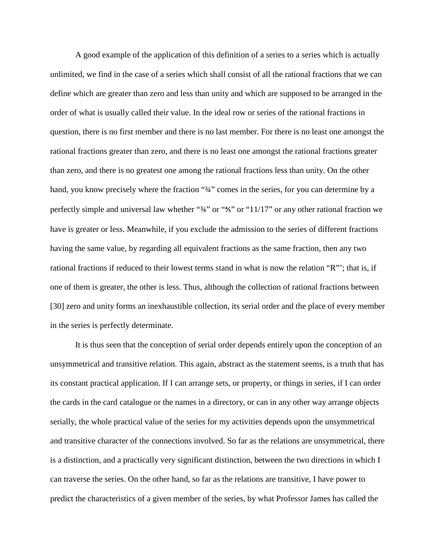A good example of the application of this definition of a series to a series which is actually unlimited, we find in the case of a series which shall consist of all the rational fractions that we can define which are greater than zero and less than unity and which are supposed to be arranged in the order of what is usually called their value. In the ideal row or series of the rational fractions in question, there is no first member and there is no last member. For there is no least one amongst the rational fractions greater than zero, and there is no least one amongst the rational fractions greater than zero, and there is no greatest one among the rational fractions less than unity. On the other hand, you know precisely where the fraction "34" comes in the series, for you can determine by a perfectly simple and universal law whether "3/4" or "45" or "11/17" or any other rational fraction we have is greater or less. Meanwhile, if you exclude the admission to the series of different fractions having the same value, by regarding all equivalent fractions as the same fraction, then any two rational fractions if reduced to their lowest terms stand in what is now the relation "R"'; that is, if one of them is greater, the other is less. Thus, although the collection of rational fractions between [30] zero and unity forms an inexhaustible collection, its serial order and the place of every member in the series is perfectly determinate.

It is thus seen that the conception of serial order depends entirely upon the conception of an unsymmetrical and transitive relation. This again, abstract as the statement seems, is a truth that has its constant practical application. If I can arrange sets, or property, or things in series, if I can order the cards in the card catalogue or the names in a directory, or can in any other way arrange objects serially, the whole practical value of the series for my activities depends upon the unsymmetrical and transitive character of the connections involved. So far as the relations are unsymmetrical, there is a distinction, and a practically very significant distinction, between the two directions in which I can traverse the series. On the other hand, so far as the relations are transitive, I have power to predict the characteristics of a given member of the series, by what Professor James has called the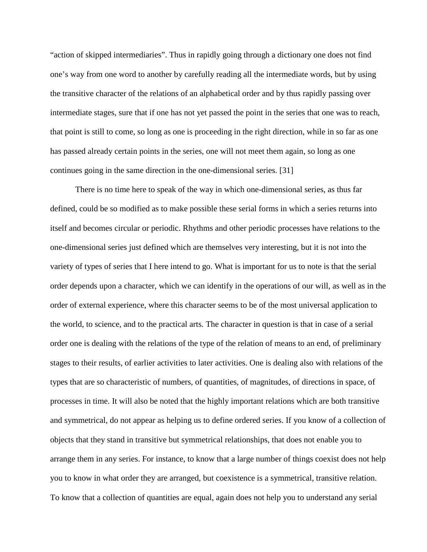"action of skipped intermediaries". Thus in rapidly going through a dictionary one does not find one's way from one word to another by carefully reading all the intermediate words, but by using the transitive character of the relations of an alphabetical order and by thus rapidly passing over intermediate stages, sure that if one has not yet passed the point in the series that one was to reach, that point is still to come, so long as one is proceeding in the right direction, while in so far as one has passed already certain points in the series, one will not meet them again, so long as one continues going in the same direction in the one-dimensional series. [31]

There is no time here to speak of the way in which one-dimensional series, as thus far defined, could be so modified as to make possible these serial forms in which a series returns into itself and becomes circular or periodic. Rhythms and other periodic processes have relations to the one-dimensional series just defined which are themselves very interesting, but it is not into the variety of types of series that I here intend to go. What is important for us to note is that the serial order depends upon a character, which we can identify in the operations of our will, as well as in the order of external experience, where this character seems to be of the most universal application to the world, to science, and to the practical arts. The character in question is that in case of a serial order one is dealing with the relations of the type of the relation of means to an end, of preliminary stages to their results, of earlier activities to later activities. One is dealing also with relations of the types that are so characteristic of numbers, of quantities, of magnitudes, of directions in space, of processes in time. It will also be noted that the highly important relations which are both transitive and symmetrical, do not appear as helping us to define ordered series. If you know of a collection of objects that they stand in transitive but symmetrical relationships, that does not enable you to arrange them in any series. For instance, to know that a large number of things coexist does not help you to know in what order they are arranged, but coexistence is a symmetrical, transitive relation. To know that a collection of quantities are equal, again does not help you to understand any serial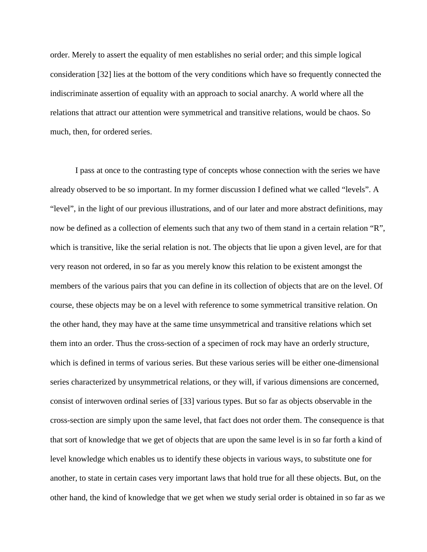order. Merely to assert the equality of men establishes no serial order; and this simple logical consideration [32] lies at the bottom of the very conditions which have so frequently connected the indiscriminate assertion of equality with an approach to social anarchy. A world where all the relations that attract our attention were symmetrical and transitive relations, would be chaos. So much, then, for ordered series.

I pass at once to the contrasting type of concepts whose connection with the series we have already observed to be so important. In my former discussion I defined what we called "levels". A "level", in the light of our previous illustrations, and of our later and more abstract definitions, may now be defined as a collection of elements such that any two of them stand in a certain relation "R", which is transitive, like the serial relation is not. The objects that lie upon a given level, are for that very reason not ordered, in so far as you merely know this relation to be existent amongst the members of the various pairs that you can define in its collection of objects that are on the level. Of course, these objects may be on a level with reference to some symmetrical transitive relation. On the other hand, they may have at the same time unsymmetrical and transitive relations which set them into an order. Thus the cross-section of a specimen of rock may have an orderly structure, which is defined in terms of various series. But these various series will be either one-dimensional series characterized by unsymmetrical relations, or they will, if various dimensions are concerned, consist of interwoven ordinal series of [33] various types. But so far as objects observable in the cross-section are simply upon the same level, that fact does not order them. The consequence is that that sort of knowledge that we get of objects that are upon the same level is in so far forth a kind of level knowledge which enables us to identify these objects in various ways, to substitute one for another, to state in certain cases very important laws that hold true for all these objects. But, on the other hand, the kind of knowledge that we get when we study serial order is obtained in so far as we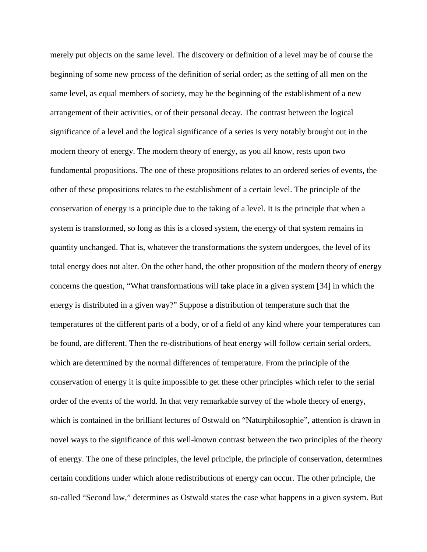merely put objects on the same level. The discovery or definition of a level may be of course the beginning of some new process of the definition of serial order; as the setting of all men on the same level, as equal members of society, may be the beginning of the establishment of a new arrangement of their activities, or of their personal decay. The contrast between the logical significance of a level and the logical significance of a series is very notably brought out in the modern theory of energy. The modern theory of energy, as you all know, rests upon two fundamental propositions. The one of these propositions relates to an ordered series of events, the other of these propositions relates to the establishment of a certain level. The principle of the conservation of energy is a principle due to the taking of a level. It is the principle that when a system is transformed, so long as this is a closed system, the energy of that system remains in quantity unchanged. That is, whatever the transformations the system undergoes, the level of its total energy does not alter. On the other hand, the other proposition of the modern theory of energy concerns the question, "What transformations will take place in a given system [34] in which the energy is distributed in a given way?" Suppose a distribution of temperature such that the temperatures of the different parts of a body, or of a field of any kind where your temperatures can be found, are different. Then the re-distributions of heat energy will follow certain serial orders, which are determined by the normal differences of temperature. From the principle of the conservation of energy it is quite impossible to get these other principles which refer to the serial order of the events of the world. In that very remarkable survey of the whole theory of energy, which is contained in the brilliant lectures of Ostwald on "Naturphilosophie", attention is drawn in novel ways to the significance of this well-known contrast between the two principles of the theory of energy. The one of these principles, the level principle, the principle of conservation, determines certain conditions under which alone redistributions of energy can occur. The other principle, the so-called "Second law," determines as Ostwald states the case what happens in a given system. But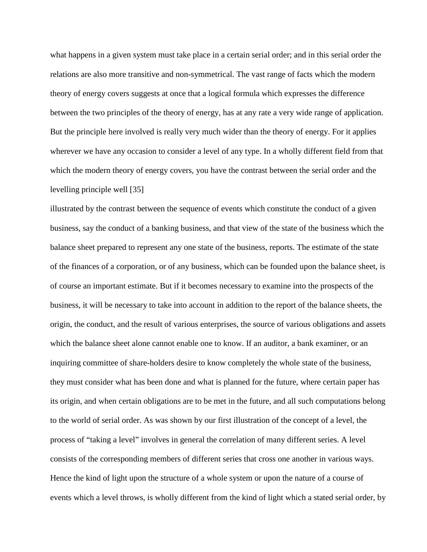what happens in a given system must take place in a certain serial order; and in this serial order the relations are also more transitive and non-symmetrical. The vast range of facts which the modern theory of energy covers suggests at once that a logical formula which expresses the difference between the two principles of the theory of energy, has at any rate a very wide range of application. But the principle here involved is really very much wider than the theory of energy. For it applies wherever we have any occasion to consider a level of any type. In a wholly different field from that which the modern theory of energy covers, you have the contrast between the serial order and the levelling principle well [35]

illustrated by the contrast between the sequence of events which constitute the conduct of a given business, say the conduct of a banking business, and that view of the state of the business which the balance sheet prepared to represent any one state of the business, reports. The estimate of the state of the finances of a corporation, or of any business, which can be founded upon the balance sheet, is of course an important estimate. But if it becomes necessary to examine into the prospects of the business, it will be necessary to take into account in addition to the report of the balance sheets, the origin, the conduct, and the result of various enterprises, the source of various obligations and assets which the balance sheet alone cannot enable one to know. If an auditor, a bank examiner, or an inquiring committee of share-holders desire to know completely the whole state of the business, they must consider what has been done and what is planned for the future, where certain paper has its origin, and when certain obligations are to be met in the future, and all such computations belong to the world of serial order. As was shown by our first illustration of the concept of a level, the process of "taking a level" involves in general the correlation of many different series. A level consists of the corresponding members of different series that cross one another in various ways. Hence the kind of light upon the structure of a whole system or upon the nature of a course of events which a level throws, is wholly different from the kind of light which a stated serial order, by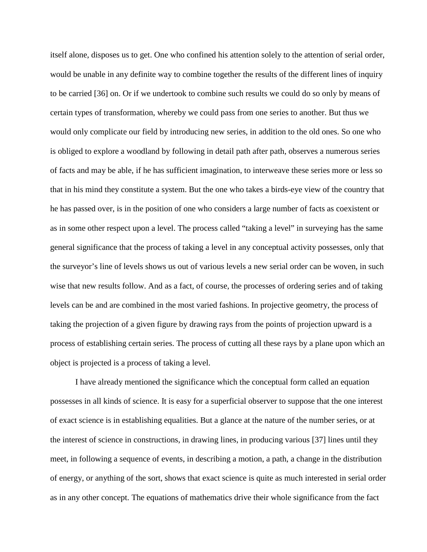itself alone, disposes us to get. One who confined his attention solely to the attention of serial order, would be unable in any definite way to combine together the results of the different lines of inquiry to be carried [36] on. Or if we undertook to combine such results we could do so only by means of certain types of transformation, whereby we could pass from one series to another. But thus we would only complicate our field by introducing new series, in addition to the old ones. So one who is obliged to explore a woodland by following in detail path after path, observes a numerous series of facts and may be able, if he has sufficient imagination, to interweave these series more or less so that in his mind they constitute a system. But the one who takes a birds-eye view of the country that he has passed over, is in the position of one who considers a large number of facts as coexistent or as in some other respect upon a level. The process called "taking a level" in surveying has the same general significance that the process of taking a level in any conceptual activity possesses, only that the surveyor's line of levels shows us out of various levels a new serial order can be woven, in such wise that new results follow. And as a fact, of course, the processes of ordering series and of taking levels can be and are combined in the most varied fashions. In projective geometry, the process of taking the projection of a given figure by drawing rays from the points of projection upward is a process of establishing certain series. The process of cutting all these rays by a plane upon which an object is projected is a process of taking a level.

 I have already mentioned the significance which the conceptual form called an equation possesses in all kinds of science. It is easy for a superficial observer to suppose that the one interest of exact science is in establishing equalities. But a glance at the nature of the number series, or at the interest of science in constructions, in drawing lines, in producing various [37] lines until they meet, in following a sequence of events, in describing a motion, a path, a change in the distribution of energy, or anything of the sort, shows that exact science is quite as much interested in serial order as in any other concept. The equations of mathematics drive their whole significance from the fact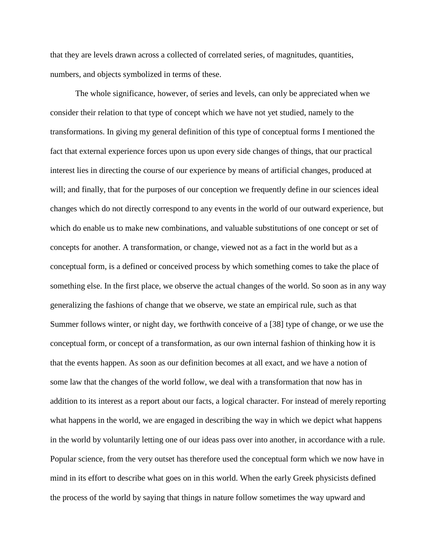that they are levels drawn across a collected of correlated series, of magnitudes, quantities, numbers, and objects symbolized in terms of these.

 The whole significance, however, of series and levels, can only be appreciated when we consider their relation to that type of concept which we have not yet studied, namely to the transformations. In giving my general definition of this type of conceptual forms I mentioned the fact that external experience forces upon us upon every side changes of things, that our practical interest lies in directing the course of our experience by means of artificial changes, produced at will; and finally, that for the purposes of our conception we frequently define in our sciences ideal changes which do not directly correspond to any events in the world of our outward experience, but which do enable us to make new combinations, and valuable substitutions of one concept or set of concepts for another. A transformation, or change, viewed not as a fact in the world but as a conceptual form, is a defined or conceived process by which something comes to take the place of something else. In the first place, we observe the actual changes of the world. So soon as in any way generalizing the fashions of change that we observe, we state an empirical rule, such as that Summer follows winter, or night day, we forthwith conceive of a [38] type of change, or we use the conceptual form, or concept of a transformation, as our own internal fashion of thinking how it is that the events happen. As soon as our definition becomes at all exact, and we have a notion of some law that the changes of the world follow, we deal with a transformation that now has in addition to its interest as a report about our facts, a logical character. For instead of merely reporting what happens in the world, we are engaged in describing the way in which we depict what happens in the world by voluntarily letting one of our ideas pass over into another, in accordance with a rule. Popular science, from the very outset has therefore used the conceptual form which we now have in mind in its effort to describe what goes on in this world. When the early Greek physicists defined the process of the world by saying that things in nature follow sometimes the way upward and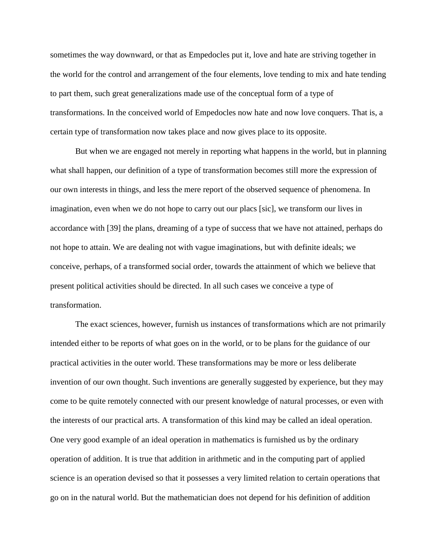sometimes the way downward, or that as Empedocles put it, love and hate are striving together in the world for the control and arrangement of the four elements, love tending to mix and hate tending to part them, such great generalizations made use of the conceptual form of a type of transformations. In the conceived world of Empedocles now hate and now love conquers. That is, a certain type of transformation now takes place and now gives place to its opposite.

 But when we are engaged not merely in reporting what happens in the world, but in planning what shall happen, our definition of a type of transformation becomes still more the expression of our own interests in things, and less the mere report of the observed sequence of phenomena. In imagination, even when we do not hope to carry out our placs [sic], we transform our lives in accordance with [39] the plans, dreaming of a type of success that we have not attained, perhaps do not hope to attain. We are dealing not with vague imaginations, but with definite ideals; we conceive, perhaps, of a transformed social order, towards the attainment of which we believe that present political activities should be directed. In all such cases we conceive a type of transformation.

The exact sciences, however, furnish us instances of transformations which are not primarily intended either to be reports of what goes on in the world, or to be plans for the guidance of our practical activities in the outer world. These transformations may be more or less deliberate invention of our own thought. Such inventions are generally suggested by experience, but they may come to be quite remotely connected with our present knowledge of natural processes, or even with the interests of our practical arts. A transformation of this kind may be called an ideal operation. One very good example of an ideal operation in mathematics is furnished us by the ordinary operation of addition. It is true that addition in arithmetic and in the computing part of applied science is an operation devised so that it possesses a very limited relation to certain operations that go on in the natural world. But the mathematician does not depend for his definition of addition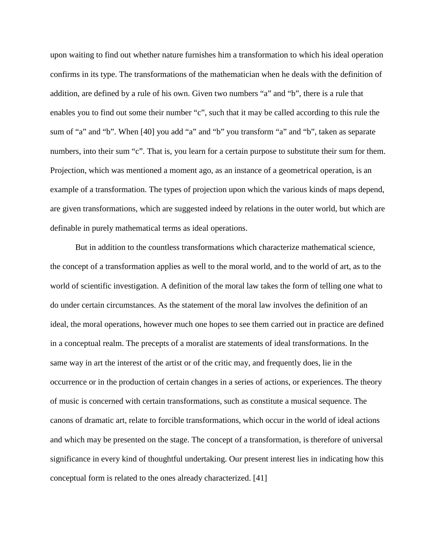upon waiting to find out whether nature furnishes him a transformation to which his ideal operation confirms in its type. The transformations of the mathematician when he deals with the definition of addition, are defined by a rule of his own. Given two numbers "a" and "b", there is a rule that enables you to find out some their number "c", such that it may be called according to this rule the sum of "a" and "b". When [40] you add "a" and "b" you transform "a" and "b", taken as separate numbers, into their sum "c". That is, you learn for a certain purpose to substitute their sum for them. Projection, which was mentioned a moment ago, as an instance of a geometrical operation, is an example of a transformation. The types of projection upon which the various kinds of maps depend, are given transformations, which are suggested indeed by relations in the outer world, but which are definable in purely mathematical terms as ideal operations.

But in addition to the countless transformations which characterize mathematical science, the concept of a transformation applies as well to the moral world, and to the world of art, as to the world of scientific investigation. A definition of the moral law takes the form of telling one what to do under certain circumstances. As the statement of the moral law involves the definition of an ideal, the moral operations, however much one hopes to see them carried out in practice are defined in a conceptual realm. The precepts of a moralist are statements of ideal transformations. In the same way in art the interest of the artist or of the critic may, and frequently does, lie in the occurrence or in the production of certain changes in a series of actions, or experiences. The theory of music is concerned with certain transformations, such as constitute a musical sequence. The canons of dramatic art, relate to forcible transformations, which occur in the world of ideal actions and which may be presented on the stage. The concept of a transformation, is therefore of universal significance in every kind of thoughtful undertaking. Our present interest lies in indicating how this conceptual form is related to the ones already characterized. [41]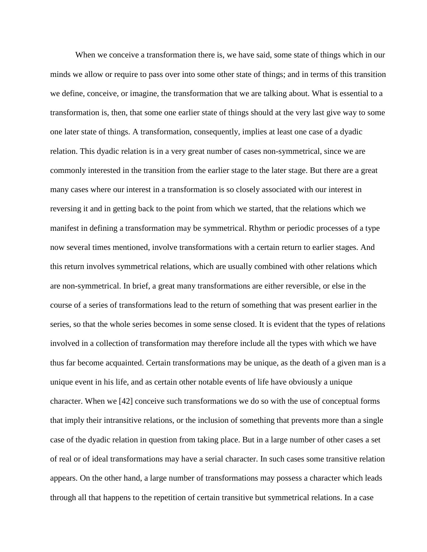When we conceive a transformation there is, we have said, some state of things which in our minds we allow or require to pass over into some other state of things; and in terms of this transition we define, conceive, or imagine, the transformation that we are talking about. What is essential to a transformation is, then, that some one earlier state of things should at the very last give way to some one later state of things. A transformation, consequently, implies at least one case of a dyadic relation. This dyadic relation is in a very great number of cases non-symmetrical, since we are commonly interested in the transition from the earlier stage to the later stage. But there are a great many cases where our interest in a transformation is so closely associated with our interest in reversing it and in getting back to the point from which we started, that the relations which we manifest in defining a transformation may be symmetrical. Rhythm or periodic processes of a type now several times mentioned, involve transformations with a certain return to earlier stages. And this return involves symmetrical relations, which are usually combined with other relations which are non-symmetrical. In brief, a great many transformations are either reversible, or else in the course of a series of transformations lead to the return of something that was present earlier in the series, so that the whole series becomes in some sense closed. It is evident that the types of relations involved in a collection of transformation may therefore include all the types with which we have thus far become acquainted. Certain transformations may be unique, as the death of a given man is a unique event in his life, and as certain other notable events of life have obviously a unique character. When we [42] conceive such transformations we do so with the use of conceptual forms that imply their intransitive relations, or the inclusion of something that prevents more than a single case of the dyadic relation in question from taking place. But in a large number of other cases a set of real or of ideal transformations may have a serial character. In such cases some transitive relation appears. On the other hand, a large number of transformations may possess a character which leads through all that happens to the repetition of certain transitive but symmetrical relations. In a case